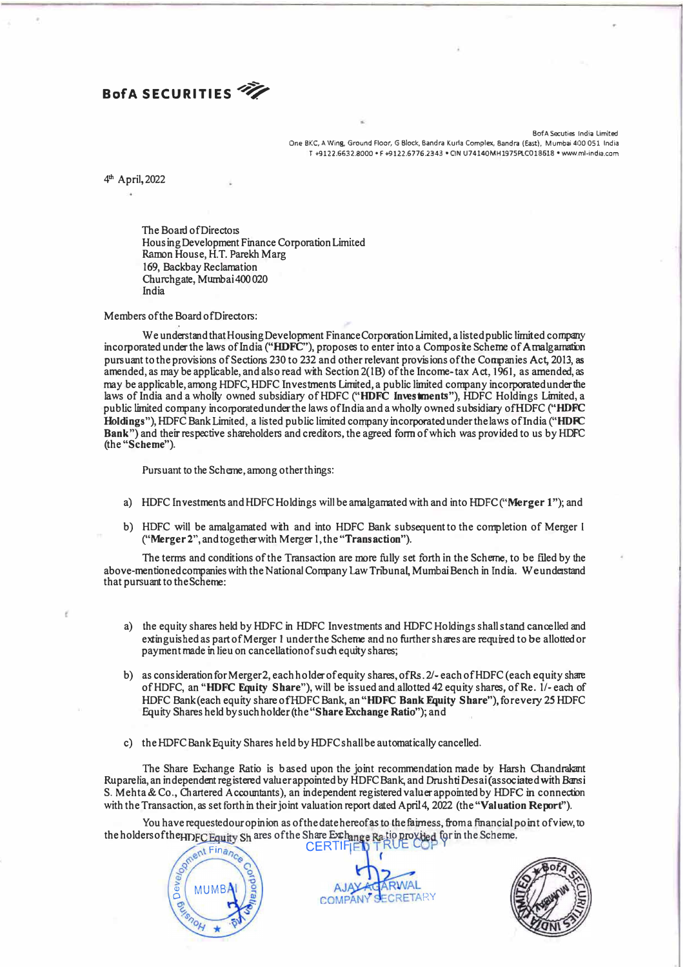### **BofA SECURITIES**

BofA Secuties India Limited One BKC, A Wing, Ground Floor, G Block, Bandra Kurla Complex, Sandra (East), Mumbai 400 051 India T +9l22.663U000 • F +9122.6776.2343 • CIN U74140MH197SPI.C018618 • www.ml-india.com

4 th April,2022

The Board of Directors Ho using Development Finance Corporation Limited Ramon House, H.T. Parekh Marg 169, Backbay Reclamation Churchgate, Mumbai400020 India

Members of the Board ofDirectors:

We understand that Housing Development Finance Corporation Limited, a listed public limited company incorporated under the laws of India **("HDFC"),** proposes to enter into a Composite Scheme of Amalgamafun pursuant to the provisions of Sections 230 to 232 and other relevant provisions of the Companies Act, 2013, as amended, as may be applicable, and also read with Section 2(1B) of the Income-tax Act, 1961, as amended, as may be applicable, among HDFC, HDFC Investments Limited, a public limited company incorporated under the laws of India and a wholly owned subsidiary of HDFC ("HDFC Investments"), **HDFC Holdings Limited**, a public limited company incorporated under the laws oflndia and a wholly owned subsidiary ofHDFC **("HDFC**  Holdings"), HDFC Bank Limited, a listed public limited company incorporated under the laws of India ("HDFC **Bank")** and their respective shareholders and creditors, the agreed form of which was provided to us by HDFC (the **"Scheme").** 

Pursuant to the Scheme,among other things:

- a) HDFC InvestmentsandHDFCHoldings will be amalgamatedwith and into **HDFC("Merger** l"); and
- b) HDFC will be amalgamated with and into HDFC Bank subsequent to the completion of Merger I **("Merger** 2", and together with Merger 1, the **"Transaction").**

The terms and conditions of the Transaction are more fully set forth in the Scheme, to be filed by the above-mentioned companies with the National Company Law Tribunal, Mumbai Bench in India. Weunderstand that pursuant to the Scheme:

- a) the equity shares held by HDFC in HDFC lnves tments and HDFC Holdings shall stand cancelled and extinguished as part of Merger 1 under the Scheme and no further shares are required to be allotted or payment made in lieu on cancellation of such equity shares;
- b) as consideration for Merger 2, each holder of equity shares, of Rs. 2/-each of HDFC (each equity share of HDFC, an "HDFC Equity Share"), will be issued and allotted 42 equity shares, of Re. 1/- each of HDFC Bank (each equity share of HDFC Bank, an "HDFC Bank Equity Share"), forevery 25 HDFC Equity Shares held by suchholder(the **"Share Exchange Ratio");** and
- c) the HDFC Bank Equity Shares held by HDFC shall be automatically cancelled.

The Share Exchange Ratio is based upon the joint recommendation made by Harsh Chandrakant Ruparelia, an independent registered valuer appointed by HDFC Bank, and Drushti Desai (associated with Bansi S. Mehta & Co., Chartered Accountants), an independent registered valuer appointed by HDFC in connection with the Transaction, as set forth in their joint valuation report dated April 4, 2022 (the "Valuation Report").

You have requested our opinion as of the date here of as to the fairness, from a financial point of view, to<br>
ers of the HDFC Equity Sh ares of the Share Exchange Ratio provided for in the Scheme.<br>
CERTIFIED TRUE COP of i the holders of the HDFC Equity Sh ares of the Share Exchange Ra tio provided for in the Scheme. **CERTIFIE** 



RIAIAI **SECRETARY** COMPAN

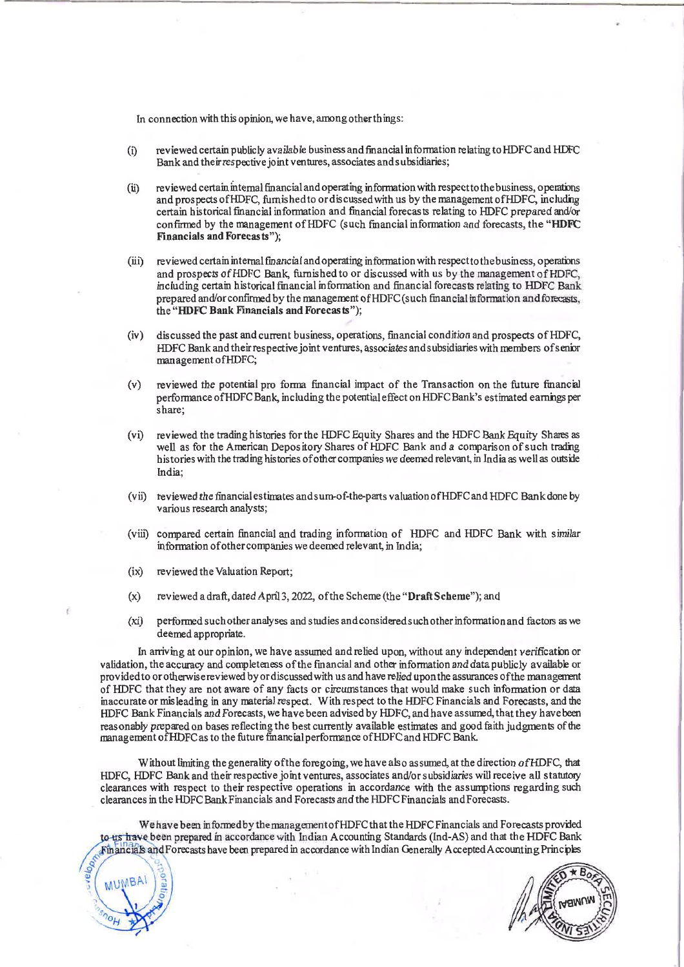In connection with this opinion, we have, among other things:

- reviewed certain publicly available business and financial information relating to HDFC and HDFC  $(i)$ Bank and their respective joint ventures, associates and subsidiaries;
- reviewed certain internal financial and operating information with respect to the business, operations  $(ii)$ and prospects of HDFC, furnished to ordiscussed with us by the management of HDFC, including certain historical financial information and financial forecasts relating to HDFC prepared and/or confirmed by the management of HDFC (such financial information and forecasts, the "HDFC Financials and Forecasts");
- (iii) reviewed certain internal financial and operating information with respect to the business, operations and prospects of HDFC Bank, furnished to or discussed with us by the management of HDFC, including certain historical financial information and financial forecasts relating to HDFC Bank prepared and/or confirmed by the management of HDFC (such financial information and forecasts, the "HDFC Bank Financials and Forecasts"):
- discussed the past and current business, operations, financial condition and prospects of HDFC.  $(iv)$ HDFC Bank and their respective joint ventures, associates and subsidiaries with members of senior management of HDFC;
- $(v)$ reviewed the potential pro forma financial impact of the Transaction on the future financial performance of HDFC Bank, including the potential effect on HDFC Bank's estimated earnings per share:
- $(vi)$ reviewed the trading histories for the HDFC Equity Shares and the HDFC Bank Equity Shares as well as for the American Depository Shares of HDFC Bank and a comparison of such trading histories with the trading histories of other companies we deemed relevant, in India as well as outside India:
- (vii) reviewed the financial estimates and sum-of-the-parts valuation of HDFC and HDFC Bank done by various research analysts;
- (viii) compared certain financial and trading information of HDFC and HDFC Bank with similar information of other companies we deemed relevant, in India;
- (ix) reviewed the Valuation Report:

MUMBAI

- $(x)$ reviewed a draft, dated April 3, 2022, of the Scheme (the "Draft Scheme"); and
- $(xi)$ performed such other analyses and studies and considered such other information and factors as we deemed appropriate.

In arriving at our opinion, we have assumed and relied upon, without any independent verification or validation, the accuracy and completeness of the financial and other information and data publicly available or provided to or otherwise reviewed by or discussed with us and have relied upon the assurances of the management of HDFC that they are not aware of any facts or circumstances that would make such information or data inaccurate or misleading in any material respect. With respect to the HDFC Financials and Forecasts, and the HDFC Bank Financials and Forecasts, we have been advised by HDFC, and have assumed, that they have been reasonably prepared on bases reflecting the best currently available estimates and good faith judgments of the management of HDFC as to the future financial performance of HDFC and HDFC Bank.

Without limiting the generality of the foregoing, we have also assumed, at the direction of HDFC, that HDFC, HDFC Bank and their respective joint ventures, associates and/or subsidiaries will receive all statutory clearances with respect to their respective operations in accordance with the assumptions regarding such clearances in the HDFC Bank Financials and Forecasts and the HDFC Financials and Forecasts.

We have been informed by the management of HDFC that the HDFC Financials and Forecasts provided to us have been prepared in accordance with Indian Accounting Standards (Ind-AS) and that the HDFC Bank Financials and Forecasts have been prepared in accordance with Indian Generally Accepted Accounting Principles

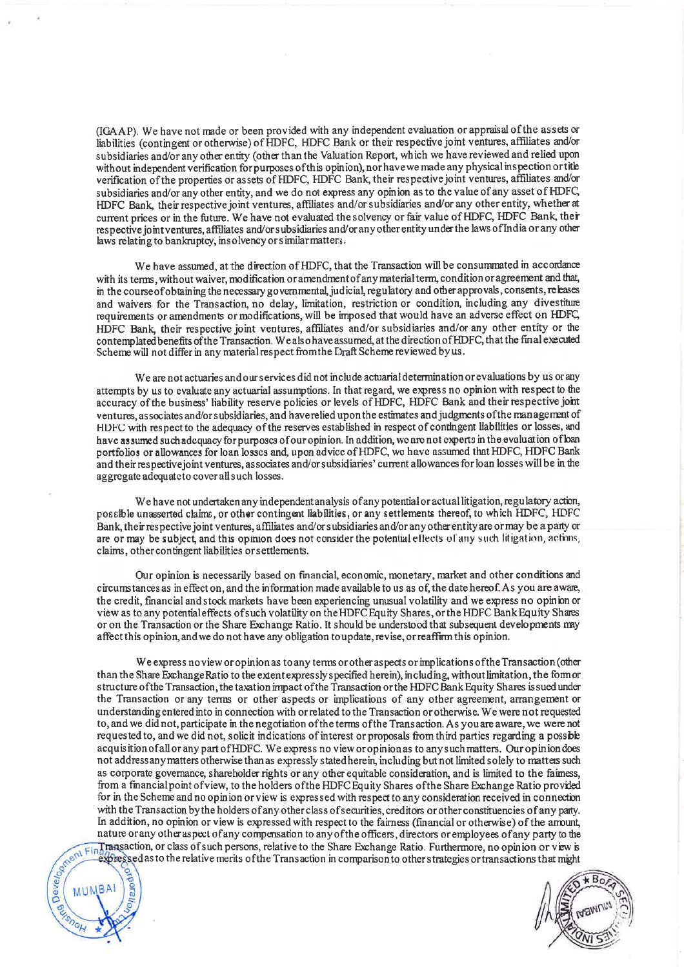(IGAAP). We have not made or been provided with any independent evaluation or appraisal of the assets or liabilities (contingent or otherwise) of HDFC, HDFC Bank or their respective joint ventures, affiliates and/or subsidiaries and/or any other entity (other than the Valuation Report, which we have reviewed and relied upon without independent verification for purposes of this opinion), nor have we made any physical inspection or title verification of the properties or assets of HDFC, HDFC Bank, their respective joint ventures, affiliates and/or subsidiaries and/or any other entity, and we do not express any opinion as to the value of any asset of HDFC, HDFC Bank, their respective joint ventures, affiliates and/or subsidiaries and/or any other entity, whether at current prices or in the future. We have not evaluated the solvency or fair value of HDFC, HDFC Bank, their respective io interestives. affiliates and/or subsidiaries and/or any other entity under the laws of India or any other laws relating to bankruptcy, insolvency or similar matters.

We have assumed, at the direction of HDFC, that the Transaction will be consummated in accordance with its terms, without waiver, modification or amendment of any material term, condition or agreement and that, in the course of obtaining the necessary governmental, judicial, regulatory and other approvals, consents, releases and waivers for the Transaction no delay, limitation, restriction or condition, including any divestiture requirements or amendments or modifications, will be imposed that would have an adverse effect on HDFC, HDFC Bank, their respective joint ventures, affiliates and/or subsidiaries and/or any other entity or the contemplated benefits of the Transaction. We also have assumed, at the direction of HDFC, that the final executed Scheme will not differ in any material respect from the Draft Scheme reviewed by us.

We are not actuaries and our services did not include actuarial determination or evaluations by us or any attempts by us to evaluate any actuarial assumptions. In that regard, we express no opinion with respect to the accuracy of the business' liability reserve policies or levels of HDFC, HDFC Bank and their respective joint ventures, associates and/or subsidiaries, and have relied upon the estimates and judgments of the management of HDFC with respect to the adequacy of the reserves established in respect of contingent liabilities or losses, and have assumed such adequacy for purposes of our opinion. In addition, we are not experts in the evaluation of ban portfolios or allowances for loan losses and, upon advice of HDFC, we have assumed that HDFC, HDFC Bank and their respective joint ventures, associates and/or subsidiaries' current allowances for loan losses will be in the aggregate adequate to cover all such losses.

We have not undertaken any independent analysis of any potential or actual litigation, regulatory action, possible unasserted claims, or other contingent liabilities, or any settlements thereof, to which HDFC, HDFC Bank, their respective joint ventures, affiliates and/or subsidiaries and/or any other entity are or may be a party or are or may be subject and this opinion does not consider the potential effects of any such litigation, actions, claims, other contingent liabilities or settlements.

Our opinion is necessarily based on financial, economic, monetary, market and other conditions and circumstances as in effect on, and the information made available to us as of, the date hereof. As you are aware, the credit, financial and stock markets have been experiencing unusual volatility and we express no opinion or view as to any potential effects of such volatility on the HDFC Equity Shares, or the HDFC Bank Equity Shares or on the Transaction or the Share Exchange Ratio. It should be understood that subsequent developments may affect this opinion, and we do not have any obligation to update, revise, or reaffirm this opinion.

We express no view or opinion as to any terms or other aspects or implications of the Transaction (other than the Share Exchange Ratio to the extent expressly specified herein), including, without limitation, the formor structure of the Transaction, the taxation impact of the Transaction or the HDFC Bank Equity Shares is sued under the Transaction or any terms or other aspects or implications of any other agreement, arrangement or understanding entered into in connection with or related to the Transaction or otherwise. We were not requested to, and we did not, participate in the negotiation of the terms of the Transaction. As you are aware, we were not requested to, and we did not, solicit indications of interest or proposals from third parties regarding a possible acquisition of all or any part of HDFC. We express no view or opinion as to any such matters. Our opinion does not address any matters otherwise than as expressly stated herein, including but not limited solely to matters such as corporate governance, shareholder rights or any other equitable consideration, and is limited to the faimess, from a financial point of view, to the holders of the HDFC Equity Shares of the Share Exchange Ratio provided for in the Scheme and no opinion or view is expressed with respect to any consideration received in connection with the Transaction by the holders of any other class of securities, creditors or other constituencies of any party. Content Financial or otherwise) of the amount,<br>
any other aspect of any compensation to any of the officers, directors or employees of any party to the<br>
expressed as to the relative merits of the Transaction in comparison

 $BA$ MU

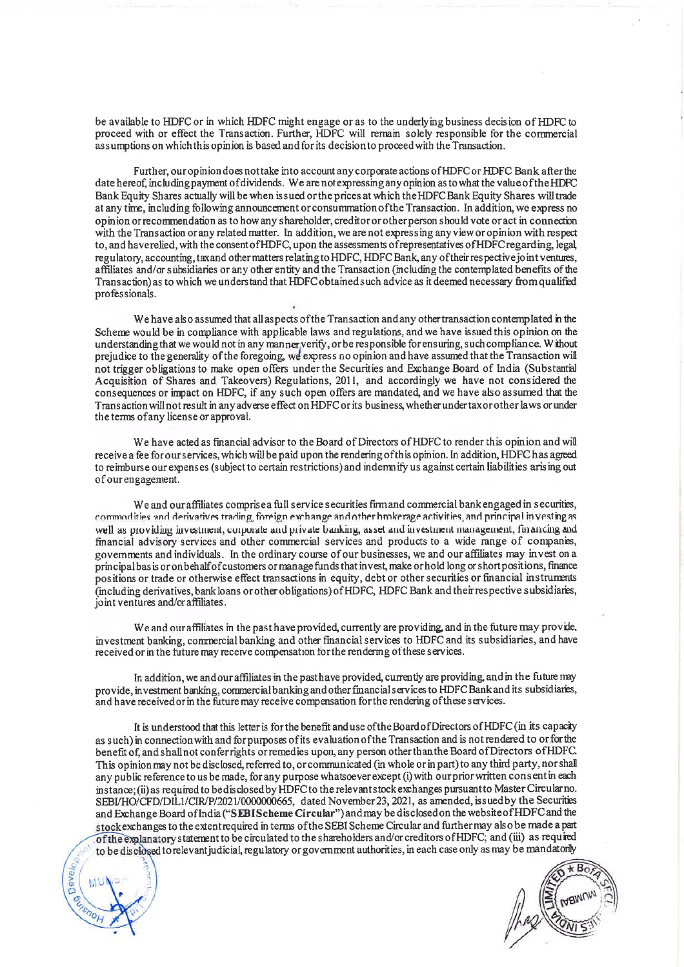be available to HDFC or in which HDFC might engage or as to the underlying business decision of HDFC to proceed with or effect the Transaction. Further, HDFC will remain solely responsible for the commercial assumptions on which this opinion is based and for its decision to proceed with the Transaction.

Further, our opinion does not take into account any corporate actions of HDFC or HDFC Bank after the date hereof, including payment of dividends. We are not expressing any opinion as to what the value of the HDFC Bank Equity Shares actually will be when is sued or the prices at which the HDFC Bank Equity Shares will trade at any time, including following announcement or consummation of the Transaction. In addition, we express no opinion or recommendation as to how any shareholder, creditor or other person should vote or act in connection with the Transaction or any related matter. In addition, we are not expressing any view or opinion with respect to, and have relied, with the consent of HDFC, upon the assessments of representatives of HDFC regarding, legal regulatory, accounting, taxand other matters relating to HDFC, HDFC Bank, any of their respective joint ventures, affiliates and/or subsidiaries or any other entity and the Transaction (including the contemplated benefits of the Transaction) as to which we understand that HDFC obtained such advice as it deemed necessary from qualified professionals.

We have also assumed that all aspects of the Transaction and any other transaction contemplated in the Scheme would be in compliance with applicable laws and regulations, and we have issued this opinion on the understanding that we would not in any manner verify, or be responsible for ensuring, such compliance. Without prejudice to the generality of the foregoing, we express no opinion and have assumed that the Transaction will not trigger obligations to make open offers under the Securities and Exchange Board of India (Substantial Acquisition of Shares and Takeovers) Regulations, 2011, and accordingly we have not considered the consequences or impact on HDFC, if any such open offers are mandated, and we have also assumed that the Transaction will not result in any adverse effect on HDFC or its business, whether under taxor other laws or under the terms of any license or approval.

We have acted as financial advisor to the Board of Directors of HDFC to render this opinion and will receive a fee for our services, which will be paid upon the rendering of this opinion. In addition, HDFC has agreed to reimburse our expenses (subject to certain restrictions) and indemnify us against certain liabilities arising out of our engagement.

We and our affiliates comprise a full service securities firm and commercial bank engaged in securities, commodities and derivatives trading, foreign exchange and other brokerage activities, and principal investing as well as providing investment, corporate and private banking, asset and investment management, financing and financial advisory services and other commercial services and products to a wide range of companies, governments and individuals. In the ordinary course of our businesses, we and our affiliates may invest on a principal basis or on behalf of customers or manage funds that invest, make or hold long or short positions, finance positions or trade or otherwise effect transactions in equity, debt or other securities or financial instruments (including derivatives, bank loans or other obligations) of HDFC, HDFC Bank and their respective subsidiaries, joint ventures and/or affiliates.

We and our affiliates in the past have provided, currently are providing, and in the future may provide, investment banking, commercial banking and other financial services to HDFC and its subsidiaries, and have received or in the future may receive compensation for the rendering of these services.

In addition, we and our affiliates in the pasthave provided, currently are providing, and in the future may provide, investment banking, commercial banking and other financial services to HDFC Bank and its subsidiaries, and have received or in the future may receive compensation for the rendering of these services.

It is understood that this letter is for the benefit and use of the Board of Directors of HDFC (in its capacity as such) in connection with and for purposes of its evaluation of the Transaction and is not rendered to or for the benefit of, and shall not conferrights or remedies upon, any person other than the Board of Directors of HDFC. This opinion may not be disclosed, referred to, or communicated (in whole or in part) to any third party, nor shall any public reference to us be made, for any purpose whatsoever except (i) with our prior written consent in each instance; (ii) as required to be disclosed by HDFC to the relevant stock exchanges pursuant to Master Circular no. SEBI/HO/CFD/DIL1/CIR/P/2021/000000665, dated November 23, 2021, as amended, issued by the Securities and Exchange Board of India ("SEBIScheme Circular") and may be disclosed on the website of HDFC and the stock exchanges to the extent required in terms of the SEBI Scheme Circular and further may also be made a part of the explanatory statement to be circulated to the shareholders and/or creditors of HDFC; and (iii) as required to be disclosed to relevant judicial, regulatory or government authorities, in each case only as may be mandatorly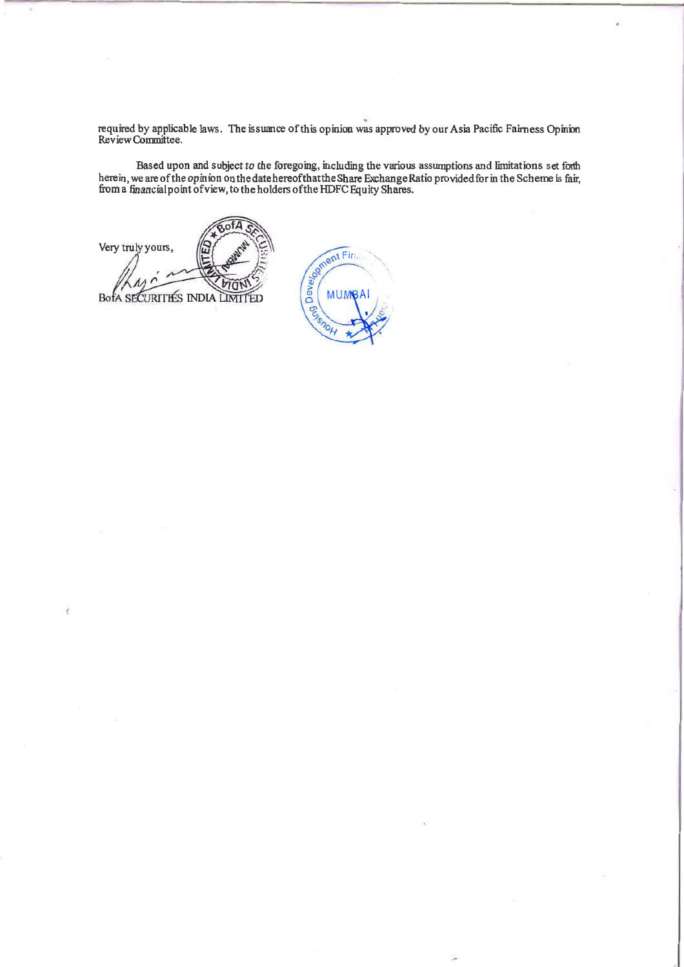required by applicable laws. The issuance of this opinion was approved by our Asia Pacific Fairness Opinion Review Committee.

Based upon and subject to the foregoing, including the various assumptions and limitations set forth herein, we are of the opinion on the date hereof that the Share Exchange Ratio provided for in the Scheme is fair, from a

of<sub>A</sub> Very truly yours, **BofA SECURITIES INDIA IMT** FD

ed on Fin **MUMBA Decisionel**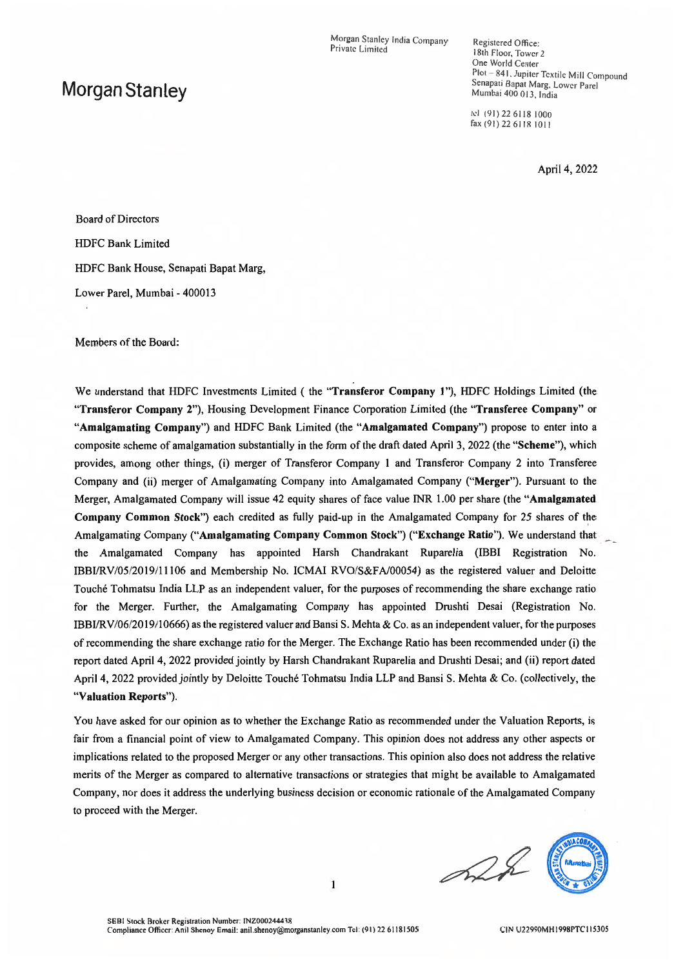Morgan Stanley India Company Private Limited

### Morgan Stanley

Registered Office: 18th Floor, Tower 2 One World Center Plot - 841, Jupiter Textile Mill Compound Senapati Bapat Marg, Lower Parel Mumbai 400 013, India

tel (91) 22 6118 1000 fax (91) 22 6118 1011

April 4, 2022

**Board of Directors HDFC Bank Limited** HDFC Bank House, Senapati Bapat Marg, Lower Parel, Mumbai - 400013

Members of the Board:

We understand that HDFC Investments Limited (the "Transferor Company 1"), HDFC Holdings Limited (the "Transferor Company 2"), Housing Development Finance Corporation Limited (the "Transferee Company" or "Amalgamating Company") and HDFC Bank Limited (the "Amalgamated Company") propose to enter into a composite scheme of amalgamation substantially in the form of the draft dated April 3, 2022 (the "Scheme"), which provides, among other things, (i) merger of Transferor Company 1 and Transferor Company 2 into Transferee Company and (ii) merger of Amalgamating Company into Amalgamated Company ("Merger"). Pursuant to the Merger, Amalgamated Company will issue 42 equity shares of face value INR 1.00 per share (the "Amalgamated Company Common Stock") each credited as fully paid-up in the Amalgamated Company for 25 shares of the Amalgamating Company ("Amalgamating Company Common Stock") ("Exchange Ratio"). We understand that the Amalgamated Company has appointed Harsh Chandrakant Ruparelia (IBBI Registration No. IBBI/RV/05/2019/11106 and Membership No. ICMAI RVO/S&FA/00054) as the registered valuer and Deloitte Touché Tohmatsu India LLP as an independent valuer, for the purposes of recommending the share exchange ratio for the Merger. Further, the Amalgamating Company has appointed Drushti Desai (Registration No. IBBI/RV/06/2019/10666) as the registered valuer and Bansi S. Mehta & Co. as an independent valuer, for the purposes of recommending the share exchange ratio for the Merger. The Exchange Ratio has been recommended under (i) the report dated April 4, 2022 provided jointly by Harsh Chandrakant Ruparelia and Drushti Desai; and (ii) report dated April 4, 2022 provided jointly by Deloitte Touché Tohmatsu India LLP and Bansi S. Mehta & Co. (collectively, the "Valuation Reports").

You have asked for our opinion as to whether the Exchange Ratio as recommended under the Valuation Reports, is fair from a financial point of view to Amalgamated Company. This opinion does not address any other aspects or implications related to the proposed Merger or any other transactions. This opinion also does not address the relative merits of the Merger as compared to alternative transactions or strategies that might be available to Amalgamated Company, nor does it address the underlying business decision or economic rationale of the Amalgamated Company to proceed with the Merger.

 $\mathbf{1}$ 

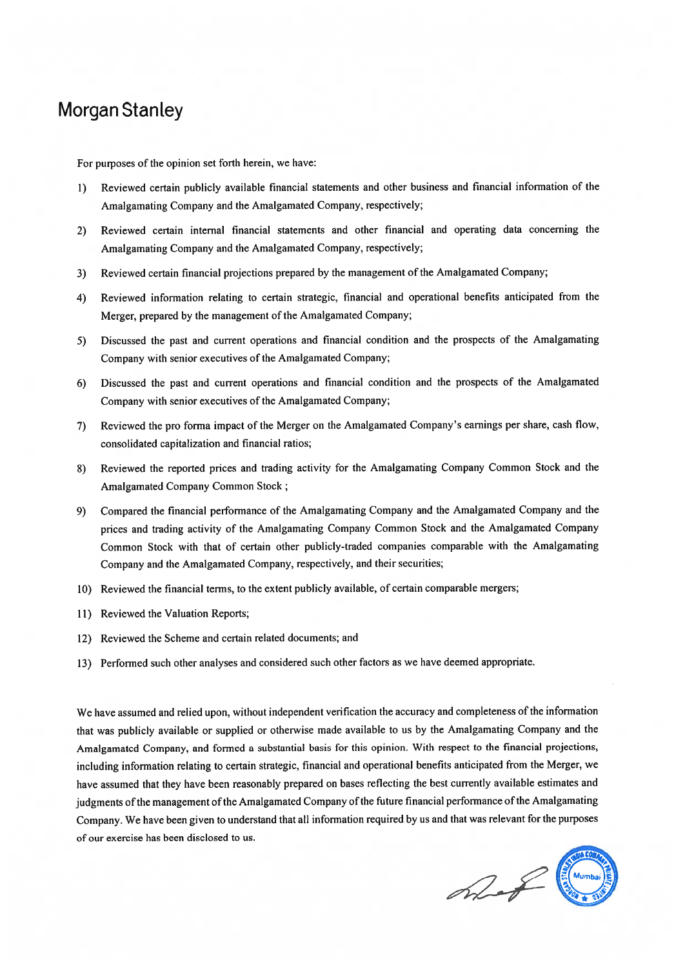## **Morgan Stanley**

For purposes of the opinion set forth herein, we have:

- Reviewed certain publicly available financial statements and other business and financial information of the  $1)$ Amalgamating Company and the Amalgamated Company, respectively;
- Reviewed certain internal financial statements and other financial and operating data concerning the  $2)$ Amalgamating Company and the Amalgamated Company, respectively;
- Reviewed certain financial projections prepared by the management of the Amalgamated Company;  $3)$
- Reviewed information relating to certain strategic, financial and operational benefits anticipated from the  $4)$ Merger, prepared by the management of the Amalgamated Company;
- Discussed the past and current operations and financial condition and the prospects of the Amalgamating 5) Company with senior executives of the Amalgamated Company;
- Discussed the past and current operations and financial condition and the prospects of the Amalgamated  $6)$ Company with senior executives of the Amalgamated Company;
- Reviewed the pro forma impact of the Merger on the Amalgamated Company's earnings per share, cash flow, 7) consolidated capitalization and financial ratios;
- 8) Reviewed the reported prices and trading activity for the Amalgamating Company Common Stock and the Amalgamated Company Common Stock;
- Compared the financial performance of the Amalgamating Company and the Amalgamated Company and the 9) prices and trading activity of the Amalgamating Company Common Stock and the Amalgamated Company Common Stock with that of certain other publicly-traded companies comparable with the Amalgamating Company and the Amalgamated Company, respectively, and their securities;
- 10) Reviewed the financial terms, to the extent publicly available, of certain comparable mergers;
- 11) Reviewed the Valuation Reports;
- 12) Reviewed the Scheme and certain related documents; and
- 13) Performed such other analyses and considered such other factors as we have deemed appropriate.

We have assumed and relied upon, without independent verification the accuracy and completeness of the information that was publicly available or supplied or otherwise made available to us by the Amalgamating Company and the Amalgamated Company, and formed a substantial basis for this opinion. With respect to the financial projections, including information relating to certain strategic, financial and operational benefits anticipated from the Merger, we have assumed that they have been reasonably prepared on bases reflecting the best currently available estimates and judgments of the management of the Amalgamated Company of the future financial performance of the Amalgamating Company. We have been given to understand that all information required by us and that was relevant for the purposes of our exercise has been disclosed to us.

What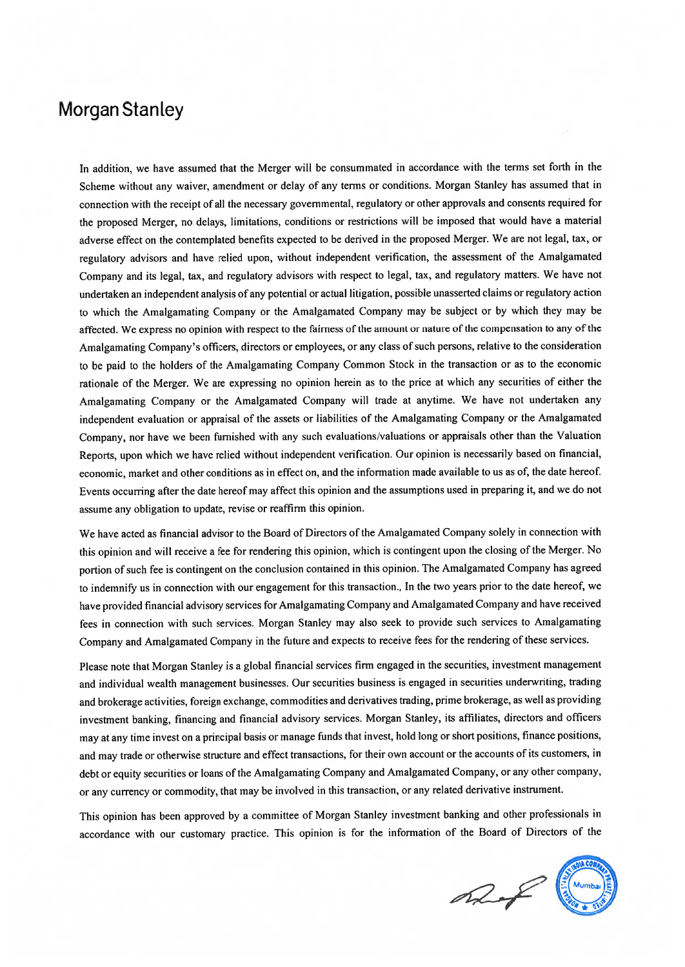### **Morgan Stanley**

In addition, we have assumed that the Merger will be consummated in accordance with the terms set forth in the Scheme without any waiver, amendment or delay of any terms or conditions. Morgan Stanley has assumed that in connection with the receipt of all the necessary governmental, regulatory or other approvals and consents required for the proposed Merger, no delays, limitations, conditions or restrictions will be imposed that would have a material adverse effect on the contemplated benefits expected to be derived in the proposed Merger. We are not legal, tax, or regulatory advisors and have relied upon, without independent verification, the assessment of the Amalgamated Company and its legal, tax, and regulatory advisors with respect to legal, tax, and regulatory matters. We have not undertaken an independent analysis of any potential or actual litigation, possible unasserted claims or regulatory action to which the Amalgamating Company or the Amalgamated Company may be subject or by which they may be affected. We express no opinion with respect to the fairness of the amount or nature of the compensation to any of the Amalgamating Company's officers, directors or employees, or any class of such persons, relative to the consideration to be paid to the holders of the Amalgamating Company Common Stock in the transaction or as to the economic rationale of the Merger. We are expressing no opinion herein as to the price at which any securities of either the Amalgamating Company or the Amalgamated Company will trade at anytime. We have not undertaken any independent evaluation or appraisal of the assets or liabilities of the Amalgamating Company or the Amalgamated Company, nor have we been furnished with any such evaluations/valuations or appraisals other than the Valuation Reports, upon which we have relied without independent verification. Our opinion is necessarily based on financial, economic, market and other conditions as in effect on, and the information made available to us as of, the date hereof. Events occurring after the date hereof may affect this opinion and the assumptions used in preparing it, and we do not assume any obligation to update, revise or reaffirm this opinion.

We have acted as financial advisor to the Board of Directors of the Amalgamated Company solely in connection with this opinion and will receive a fee for rendering this opinion, which is contingent upon the closing of the Merger. No portion of such fee is contingent on the conclusion contained in this opinion. The Amalgamated Company has agreed to indemnify us in connection with our engagement for this transaction., In the two years prior to the date hereof, we have provided financial advisory services for Amalgamating Company and Amalgamated Company and have received fees in connection with such services. Morgan Stanley may also seek to provide such services to Amalgamating Company and Amalgamated Company in the future and expects to receive fees for the rendering of these services.

Please note that Morgan Stanley is a global financial services firm engaged in the securities, investment management and individual wealth management businesses. Our securities business is engaged in securities underwriting, trading and brokerage activities, foreign exchange, commodities and derivatives trading, prime brokerage, as well as providing investment banking, financing and financial advisory services. Morgan Stanley, its affiliates, directors and officers may at any time invest on a principal basis or manage funds that invest, hold long or short positions, finance positions, and may trade or otherwise structure and effect transactions, for their own account or the accounts of its customers, in debt or equity securities or loans of the Amalgamating Company and Amalgamated Company, or any other company, or any currency or commodity, that may be involved in this transaction, or any related derivative instrument.

This opinion has been approved by a committee of Morgan Stanley investment banking and other professionals in accordance with our customary practice. This opinion is for the information of the Board of Directors of the

hot